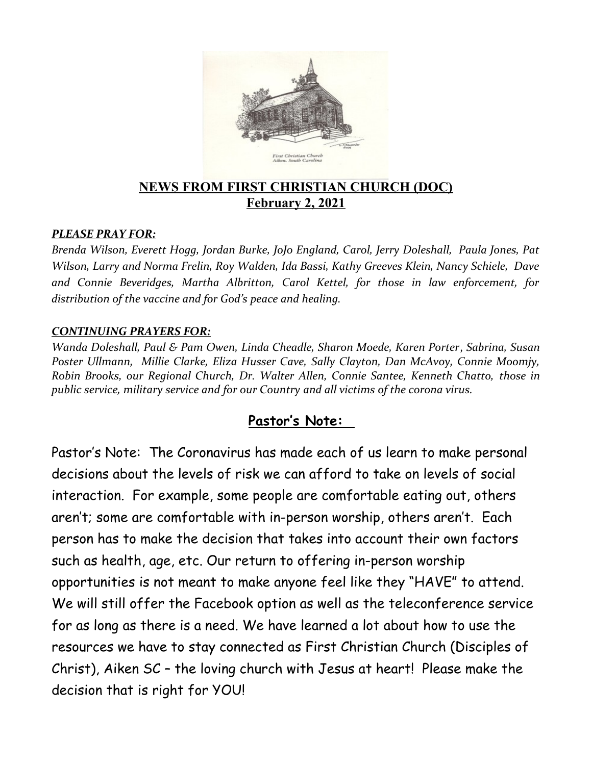

#### **NEWS FROM FIRST CHRISTIAN CHURCH (DOC) February 2, 2021**

#### *PLEASE PRAY FOR:*

*Brenda Wilson, Everett Hogg, Jordan Burke, JoJo England, Carol, Jerry Doleshall, Paula Jones, Pat Wilson, Larry and Norma Frelin, Roy Walden, Ida Bassi, Kathy Greeves Klein, Nancy Schiele, Dave and Connie Beveridges, Martha Albritton, Carol Kettel, for those in law enforcement, for distribution of the vaccine and for God's peace and healing.*

#### *CONTINUING PRAYERS FOR:*

*Wanda Doleshall, Paul & Pam Owen, Linda Cheadle, Sharon Moede, Karen Porter*, *Sabrina, Susan Poster Ullmann, Millie Clarke, Eliza Husser Cave, Sally Clayton, Dan McAvoy, Connie Moomjy, Robin Brooks, our Regional Church, Dr. Walter Allen, Connie Santee, Kenneth Chatto, those in public service, military service and for our Country and all victims of the corona virus.* 

#### **Pastor's Note:**

Pastor's Note: The Coronavirus has made each of us learn to make personal decisions about the levels of risk we can afford to take on levels of social interaction. For example, some people are comfortable eating out, others aren't; some are comfortable with in-person worship, others aren't. Each person has to make the decision that takes into account their own factors such as health, age, etc. Our return to offering in-person worship opportunities is not meant to make anyone feel like they "HAVE" to attend. We will still offer the Facebook option as well as the teleconference service for as long as there is a need. We have learned a lot about how to use the resources we have to stay connected as First Christian Church (Disciples of Christ), Aiken SC – the loving church with Jesus at heart! Please make the decision that is right for YOU!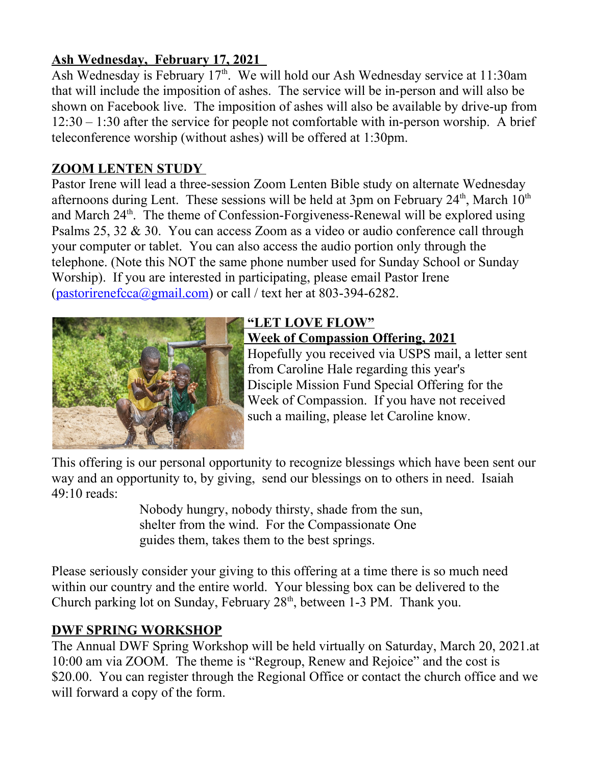## **Ash Wednesday, February 17, 2021**

Ash Wednesday is February 17<sup>th</sup>. We will hold our Ash Wednesday service at 11:30am that will include the imposition of ashes. The service will be in-person and will also be shown on Facebook live. The imposition of ashes will also be available by drive-up from 12:30 – 1:30 after the service for people not comfortable with in-person worship. A brief teleconference worship (without ashes) will be offered at 1:30pm.

## **ZOOM LENTEN STUDY**

Pastor Irene will lead a three-session Zoom Lenten Bible study on alternate Wednesday afternoons during Lent. These sessions will be held at  $3\text{pm}$  on February  $24^{\text{th}}$ , March  $10^{\text{th}}$ and March 24<sup>th</sup>. The theme of Confession-Forgiveness-Renewal will be explored using Psalms 25, 32 & 30. You can access Zoom as a video or audio conference call through your computer or tablet. You can also access the audio portion only through the telephone. (Note this NOT the same phone number used for Sunday School or Sunday Worship). If you are interested in participating, please email Pastor Irene  $(pastorirenefcca(\omega gmail.com)$  or call / text her at 803-394-6282.



## **"LET LOVE FLOW" Week of Compassion Offering, 2021**

 Hopefully you received via USPS mail, a letter sent from Caroline Hale regarding this year's Disciple Mission Fund Special Offering for the Week of Compassion. If you have not received such a mailing, please let Caroline know.

This offering is our personal opportunity to recognize blessings which have been sent our way and an opportunity to, by giving, send our blessings on to others in need. Isaiah 49:10 reads:

> Nobody hungry, nobody thirsty, shade from the sun, shelter from the wind. For the Compassionate One guides them, takes them to the best springs.

Please seriously consider your giving to this offering at a time there is so much need within our country and the entire world. Your blessing box can be delivered to the Church parking lot on Sunday, February 28<sup>th</sup>, between 1-3 PM. Thank you.

## **DWF SPRING WORKSHOP**

The Annual DWF Spring Workshop will be held virtually on Saturday, March 20, 2021.at 10:00 am via ZOOM. The theme is "Regroup, Renew and Rejoice" and the cost is \$20.00. You can register through the Regional Office or contact the church office and we will forward a copy of the form.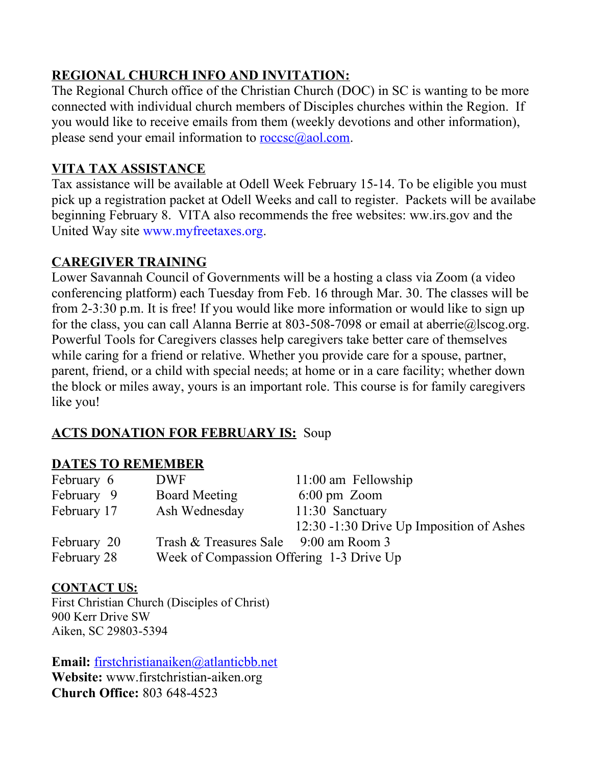# **REGIONAL CHURCH INFO AND INVITATION:**

The Regional Church office of the Christian Church (DOC) in SC is wanting to be more connected with individual church members of Disciples churches within the Region. If you would like to receive emails from them (weekly devotions and other information), please send your email information to  $\frac{\text{rocsc}(a)}{a}$  aol.com.

## **VITA TAX ASSISTANCE**

Tax assistance will be available at Odell Week February 15-14. To be eligible you must pick up a registration packet at Odell Weeks and call to register. Packets will be availabe beginning February 8. VITA also recommends the free websites: ww.irs.gov and the United Way site [www.myfreetaxes.org](http://www.myfreetaxes.org/).

### **CAREGIVER TRAINING**

Lower Savannah Council of Governments will be a hosting a class via Zoom (a video conferencing platform) each Tuesday from Feb. 16 through Mar. 30. The classes will be from 2-3:30 p.m. It is free! If you would like more information or would like to sign up for the class, you can call Alanna Berrie at 803-508-7098 or email at aberrie@lscog.org. Powerful Tools for Caregivers classes help caregivers take better care of themselves while caring for a friend or relative. Whether you provide care for a spouse, partner, parent, friend, or a child with special needs; at home or in a care facility; whether down the block or miles away, yours is an important role. This course is for family caregivers like you!

## **ACTS DONATION FOR FEBRUARY IS:** Soup

## **DATES TO REMEMBER**

| February 6  | <b>DWF</b>                               | $11:00$ am Fellowship                    |
|-------------|------------------------------------------|------------------------------------------|
| February 9  | <b>Board Meeting</b>                     | $6:00 \text{ pm}$ Zoom                   |
| February 17 | Ash Wednesday                            | 11:30 Sanctuary                          |
|             |                                          | 12:30 -1:30 Drive Up Imposition of Ashes |
| February 20 | Trash & Treasures Sale 9:00 am Room 3    |                                          |
| February 28 | Week of Compassion Offering 1-3 Drive Up |                                          |

#### **CONTACT US:**

First Christian Church (Disciples of Christ) 900 Kerr Drive SW Aiken, SC 29803-5394

**Email:** [firstchristianaiken@atlanticbb.net](mailto:firstchristianaiken@atlanticbb.net) **Website:** www.firstchristian-aiken.org **Church Office:** 803 648-4523